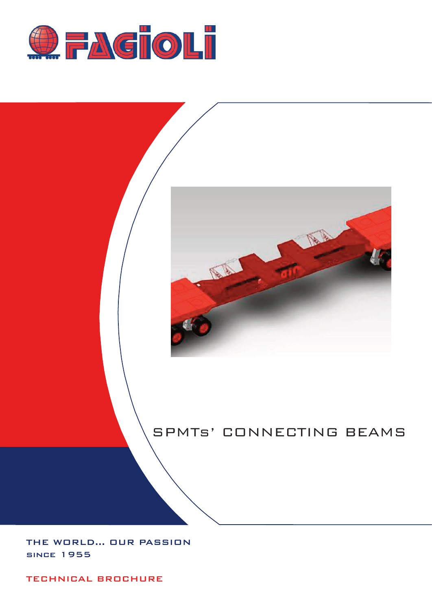



# SPMTs' CONNECTING BEAMS

THE WORLD... OUR PASSION since 1955

TECHNICAL BROCHURE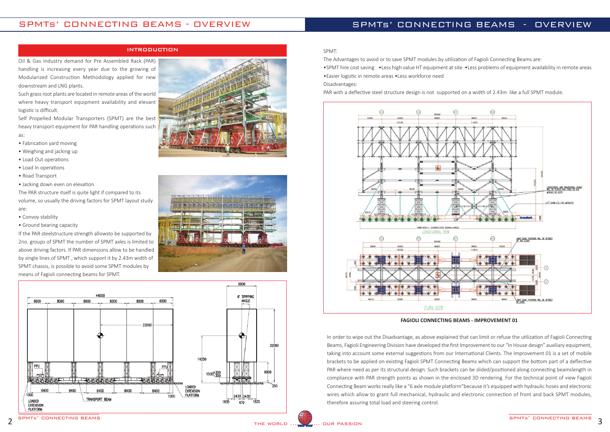### INTRODUCTION







## SPMTs' CONNECTING BEAMS - OVERVIEW

Oil & Gas Industry demand for Pre Assembled Rack (PAR) handling is increasing every year due to the growing of Modularized Construction Methodology applied for new downstream and LNG plants.

Such grass root plants are located in remote areas of the world where heavy transport equipment availability and elevant logistic is difficult.

Self Propelled Modular Transporters (SPMT) are the best heavy transport equipment for PAR handling operations such as:

- Fabrication yard moving
- Weighing and jacking up
- Load Out operations
- Load In operations
- Road Transport
- Jacking down even on elevation.

The PAR structure itself is quite light if compared to its volume, so usually the driving factors for SPMT layout study are:

- Convoy stability
- Ground bearing capacity

If the PAR steelstructure strength allowsto be supported by 2no. groups of SPMT the number of SPMT axles is limited to above driving factors. If PAR dimensions allow to be handled by single lines of SPMT , which support it by 2.43m width of SPMT chassis, is possible to avoid some SPMT modules by means of Fagioli connecting beams for SPMT.

## SPMTs' CONNECTING BEAMS - OVERVIEW

#### SPMT:

The Advantages to avoid or to save SPMT modules by utilization of Fagioli Connecting Beams are:

•SPMT hire cost saving •Less high value HT equipment at site •Less problems of equipment availability in remote areas

•Easier logistic in remote areas •Less workforce need

#### Disadvantages:

PAR with a deflective steel structure design is not supported on a width of 2.43m like a full SPMT module.



#### **FAGIOLI CONNECTING BEAMS ‐ IMPROVEMENT 01**

In order to wipe out the Disadvantage, as above explained that can limit or refuse the utilization of Fagioli Connecting Beams, Fagioli Engineering Division have developed the first Improvement to our "In House design" auxiliary equipment, taking into account some external suggestions from our International Clients. The Improvement 01 is a set of mobile brackets to be applied on existing Fagioli SPMT Connecting Beams which can support the bottom part of a deflective PAR where need as per its structural design. Such brackets can be slided/positioned along connecting beamslength in compliance with PAR strength points as shown in the enclosed 3D rendering. For the technical point of view Fagioli Connecting Beam works really like a "6 axle module platform"because it's equipped with hydraulic hoses and electronic wires which allow to grant full mechanical, hydraulic and electronic connection of front and back SPMT modules, therefore assuring total load and steering control.